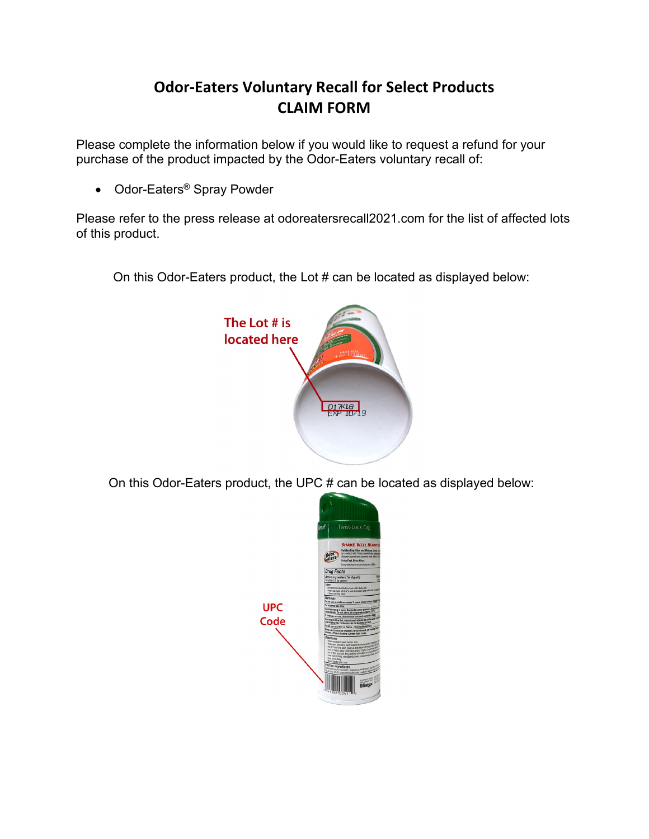## **Odor-Eaters Voluntary Recall for Select Products CLAIM FORM**

Please complete the information below if you would like to request a refund for your purchase of the product impacted by the Odor-Eaters voluntary recall of:

• Odor-Eaters® Spray Powder

Please refer to the press release at odoreatersrecall2021.com for the list of affected lots of this product.

On this Odor-Eaters product, the Lot # can be located as displayed below:



On this Odor-Eaters product, the UPC # can be located as displayed below:

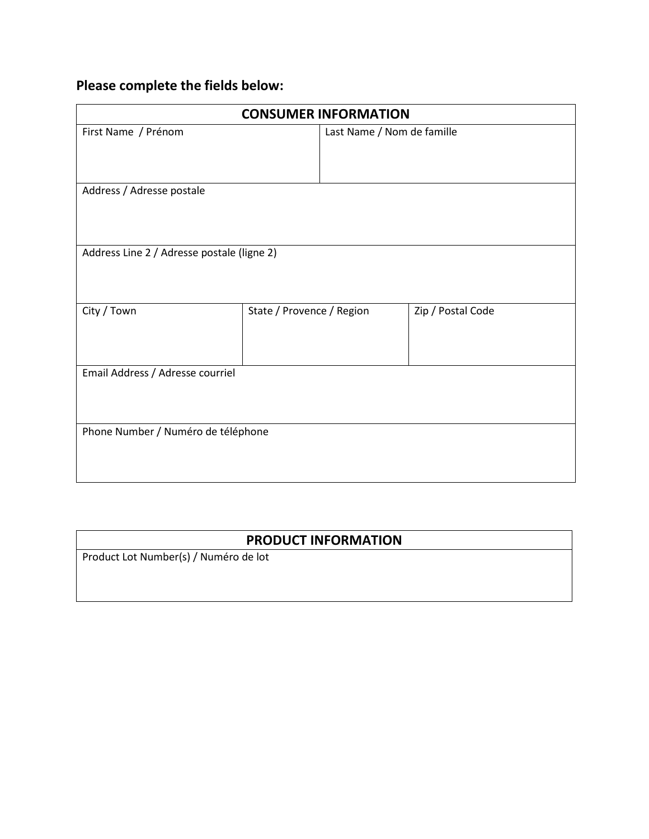## **Please complete the fields below:**

| <b>CONSUMER INFORMATION</b>                |                           |                            |                   |  |
|--------------------------------------------|---------------------------|----------------------------|-------------------|--|
| First Name / Prénom                        |                           | Last Name / Nom de famille |                   |  |
|                                            |                           |                            |                   |  |
|                                            |                           |                            |                   |  |
| Address / Adresse postale                  |                           |                            |                   |  |
|                                            |                           |                            |                   |  |
|                                            |                           |                            |                   |  |
| Address Line 2 / Adresse postale (ligne 2) |                           |                            |                   |  |
|                                            |                           |                            |                   |  |
|                                            |                           |                            |                   |  |
| City / Town                                | State / Provence / Region |                            | Zip / Postal Code |  |
|                                            |                           |                            |                   |  |
|                                            |                           |                            |                   |  |
| Email Address / Adresse courriel           |                           |                            |                   |  |
|                                            |                           |                            |                   |  |
|                                            |                           |                            |                   |  |
|                                            |                           |                            |                   |  |
| Phone Number / Numéro de téléphone         |                           |                            |                   |  |
|                                            |                           |                            |                   |  |
|                                            |                           |                            |                   |  |

## **PRODUCT INFORMATION**

Product Lot Number(s) / Numéro de lot